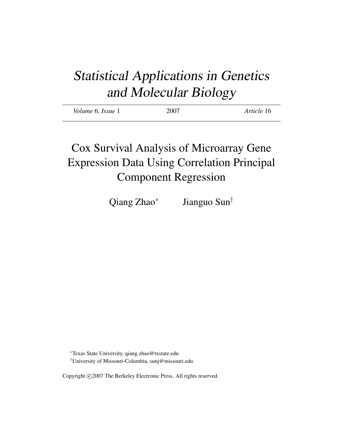# Statistical Applications in Genetics and Molecular Biology

| Volume 6, Issue 1 | 2007 | Article 16 |
|-------------------|------|------------|
|                   |      |            |

## Cox Survival Analysis of Microarray Gene Expression Data Using Correlation Principal Component Regression

Qiang Zhao<sup>\*</sup> Jianguo Sun†

<sup>∗</sup>Texas State University, qiang.zhao@txstate.edu †University of Missouri-Columbia, sunj@missouri.edu

Copyright ©2007 The Berkeley Electronic Press. All rights reserved.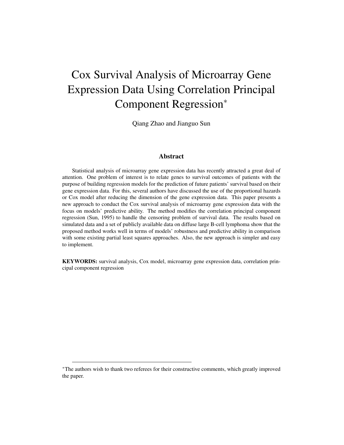## Cox Survival Analysis of Microarray Gene Expression Data Using Correlation Principal Component Regression<sup>∗</sup>

Qiang Zhao and Jianguo Sun

#### Abstract

Statistical analysis of microarray gene expression data has recently attracted a great deal of attention. One problem of interest is to relate genes to survival outcomes of patients with the purpose of building regression models for the prediction of future patients' survival based on their gene expression data. For this, several authors have discussed the use of the proportional hazards or Cox model after reducing the dimension of the gene expression data. This paper presents a new approach to conduct the Cox survival analysis of microarray gene expression data with the focus on models' predictive ability. The method modifies the correlation principal component regression (Sun, 1995) to handle the censoring problem of survival data. The results based on simulated data and a set of publicly available data on diffuse large B-cell lymphoma show that the proposed method works well in terms of models' robustness and predictive ability in comparison with some existing partial least squares approaches. Also, the new approach is simpler and easy to implement.

KEYWORDS: survival analysis, Cox model, microarray gene expression data, correlation principal component regression

<sup>∗</sup>The authors wish to thank two referees for their constructive comments, which greatly improved the paper.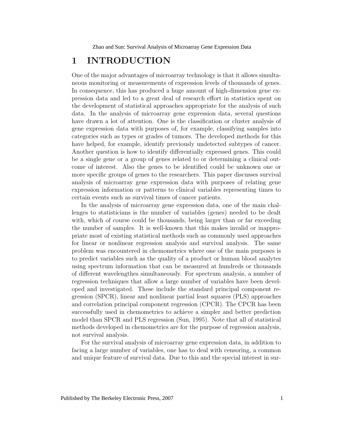## **1 INTRODUCTION**

One of the major advantages of microarray technology is that it allows simultaneous monitoring or measurements of expression levels of thousands of genes. In consequence, this has produced a huge amount of high-dimension gene expression data and led to a great deal of research effort in statistics spent on the development of statistical approaches appropriate for the analysis of such data. In the analysis of microarray gene expression data, several questions have drawn a lot of attention. One is the classification or cluster analysis of gene expression data with purposes of, for example, classifying samples into categories such as types or grades of tumors. The developed methods for this have helped, for example, identify previously undetected subtypes of cancer. Another question is how to identify differentially expressed genes. This could be a single gene or a group of genes related to or determining a clinical outcome of interest. Also the genes to be identified could be unknown one or more specific groups of genes to the researchers. This paper discusses survival analysis of microarray gene expression data with purposes of relating gene expression information or patterns to clinical variables representing times to certain events such as survival times of cancer patients.

In the analysis of microarray gene expression data, one of the main challenges to statisticians is the number of variables (genes) needed to be dealt with, which of course could be thousands, being larger than or far exceeding the number of samples. It is well-known that this makes invalid or inappropriate most of existing statistical methods such as commonly used approaches for linear or nonlinear regression analysis and survival analysis. The same problem was encountered in chemometrics where one of the main purposes is to predict variables such as the quality of a product or human blood analytes using spectrum information that can be measured at hundreds or thousands of different wavelengthes simultaneously. For spectrum analysis, a number of regression techniques that allow a large number of variables have been developed and investigated. These include the standard principal component regression (SPCR), linear and nonlinear partial least squares (PLS) approaches and correlation principal component regression (CPCR). The CPCR has been successfully used in chemometrics to achieve a simpler and better prediction model than SPCR and PLS regression (Sun, 1995). Note that all of statistical methods developed in chemometrics are for the purpose of regression analysis, not survival analysis.

For the survival analysis of microarray gene expression data, in addition to facing a large number of variables, one has to deal with censoring, a common and unique feature of survival data. Due to this and the special interest in sur-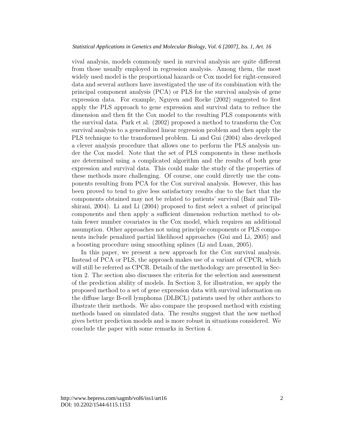vival analysis, models commonly used in survival analysis are quite different from those usually employed in regression analysis. Among them, the most widely used model is the proportional hazards or Cox model for right-censored data and several authors have investigated the use of its combination with the principal component analysis (PCA) or PLS for the survival analysis of gene expression data. For example, Nguyen and Rocke (2002) suggested to first apply the PLS approach to gene expression and survival data to reduce the dimension and then fit the Cox model to the resulting PLS components with the survival data. Park et al. (2002) proposed a method to transform the Cox survival analysis to a generalized linear regression problem and then apply the PLS technique to the transformed problem. Li and Gui (2004) also developed a clever analysis procedure that allows one to perform the PLS analysis under the Cox model. Note that the set of PLS components in these methods are determined using a complicated algorithm and the results of both gene expression and survival data. This could make the study of the properties of these methods more challenging. Of course, one could directly use the components resulting from PCA for the Cox survival analysis. However, this has been proved to tend to give less satisfactory results due to the fact that the components obtained may not be related to patients' survival (Bair and Tibshirani, 2004). Li and Li (2004) proposed to first select a subset of principal components and then apply a sufficient dimension reduction method to obtain fewer number covariates in the Cox model, which requires an additional assumption. Other approaches not using principle components or PLS components include penalized partial likelihood approaches (Gui and Li, 2005) and a boosting procedure using smoothing splines (Li and Luan, 2005).

In this paper, we present a new approach for the Cox survival analysis. Instead of PCA or PLS, the approach makes use of a variant of CPCR, which will still be referred as CPCR. Details of the methodology are presented in Section 2. The section also discusses the criteria for the selection and assessment of the prediction ability of models. In Section 3, for illustration, we apply the proposed method to a set of gene expression data with survival information on the diffuse large B-cell lymphoma (DLBCL) patients used by other authors to illustrate their methods. We also compare the proposed method with existing methods based on simulated data. The results suggest that the new method gives better prediction models and is more robust in situations considered. We conclude the paper with some remarks in Section 4.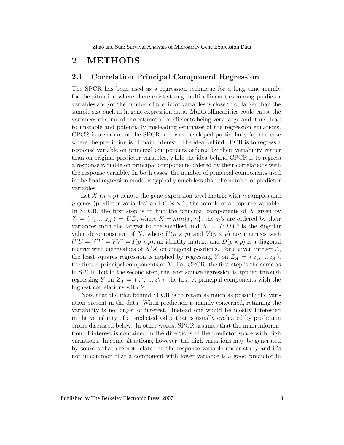## **2 METHODS**

#### **2.1 Correlation Principal Component Regression**

The SPCR has been used as a regression technique for a long time mainly for the situation where there exist strong multicollinearities among predictor variables and/or the number of predictor variables is close to or larger than the sample size such as in gene expression data. Multicollinearities could cause the variances of some of the estimated coefficients being very large and, thus, lead to unstable and potentially misleading estimates of the regression equations. CPCR is a variant of the SPCR and was developed particularly for the case where the prediction is of main interest. The idea behind SPCR is to regress a response variable on principal components ordered by their variability rather than on original predictor variables, while the idea behind CPCR is to regress a response variable on principal components ordered by their correlations with the response variable. In both cases, the number of principal components used in the final regression model is typically much less than the number of predictor variables.

Let X  $(n \times p)$  denote the gene expression level matrix with n samples and p genes (predictor variables) and Y  $(n \times 1)$  the sample of a response variable. In SPCR, the first step is to find the principal components of  $X$  given by  $Z = (z_1, \ldots z_K) = UD$ , where  $K = min\{p, n\}$ , the  $z_i$ 's are ordered by their variances from the largest to the smallest and  $X = U D V^t$  is the singular value decomposition of X, where  $U(n \times p)$  and  $V(p \times p)$  are matrices with  $U^t U = V^t V = V V^t = I(p \times p)$ , an identity matrix, and  $D(p \times p)$  is a diagonal matrix with eigenvalues of  $X^t X$  on diagonal positions. For a given integer  $A$ , the least squares regression is applied by regressing Y on  $Z_A = (z_1, ..., z_A)$ , the first A principal components of X. For CPCR, the first step is the same as in SPCR, but in the second step, the least square regression is applied through regressing Y on  $Z_A^* = (z_1^*,...,z_A^*)$ , the first A principal components with the highest correlations with Y.

Note that the idea behind SPCR is to retain as much as possible the variation present in the data. When prediction is mainly concerned, retaining the variability is no longer of interest. Instead one would be mostly interested in the variability of a predicted value that is usually evaluated by prediction errors discussed below. In other words, SPCR assumes that the main information of interest is contained in the directions of the predictor space with high variations. In some situations, however, the high variations may be generated by sources that are not related to the response variable under study and it's not uncommon that a component with lower variance is a good predictor in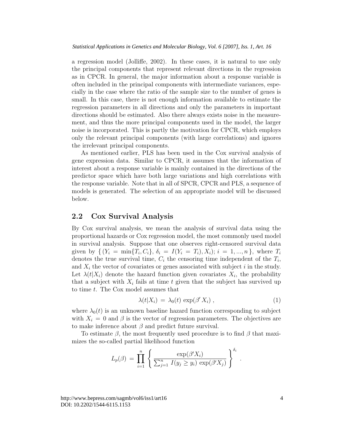a regression model (Jolliffe, 2002). In these cases, it is natural to use only the principal components that represent relevant directions in the regression as in CPCR. In general, the major information about a response variable is often included in the principal components with intermediate variances, especially in the case where the ratio of the sample size to the number of genes is small. In this case, there is not enough information available to estimate the regression parameters in all directions and only the parameters in important directions should be estimated. Also there always exists noise in the measurement, and thus the more principal components used in the model, the larger noise is incorporated. This is partly the motivation for CPCR, which employs only the relevant principal components (with large correlations) and ignores the irrelevant principal components.

As mentioned earlier, PLS has been used in the Cox survival analysis of gene expression data. Similar to CPCR, it assumes that the information of interest about a response variable is mainly contained in the directions of the predictor space which have both large variations and high correlations with the response variable. Note that in all of SPCR, CPCR and PLS, a sequence of models is generated. The selection of an appropriate model will be discussed below.

#### **2.2 Cox Survival Analysis**

By Cox survival analysis, we mean the analysis of survival data using the proportional hazards or Cox regression model, the most commonly used model in survival analysis. Suppose that one observes right-censored survival data given by  $\{ (Y_i = \min\{T_i, C_i\}, \delta_i = I(Y_i = T_i), X_i); i = 1, ..., n \},\$ denotes the true survival time,  $C_i$  the censoring time independent of the  $T_i$ , and  $X_i$  the vector of covariates or genes associated with subject  $i$  in the study. Let  $\lambda(t|X_i)$  denote the hazard function given covariates  $X_i$ , the probability that a subject with  $X_i$  fails at time  $t$  given that the subject has survived up to time t. The Cox model assumes that

$$
\lambda(t|X_i) = \lambda_0(t) \exp(\beta' X_i) , \qquad (1)
$$

.

where  $\lambda_0(t)$  is an unknown baseline hazard function corresponding to subject with  $X_i = 0$  and  $\beta$  is the vector of regression parameters. The objectives are to make inference about  $\beta$  and predict future survival.

To estimate  $\beta$ , the most frequently used procedure is to find  $\beta$  that maximizes the so-called partial likelihood function

$$
L_p(\beta) = \prod_{i=1}^n \left\{ \frac{\exp(\beta'X_i)}{\sum_{j=1}^n I(y_j \ge y_i) \exp(\beta'X_j)} \right\}^{\delta_i}
$$

http://www.bepress.com/sagmb/vol6/iss1/art16 DOI: 10.2202/1544-6115.1153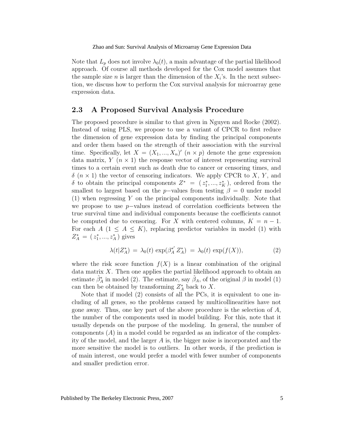Note that  $L_p$  does not involve  $\lambda_0(t)$ , a main advantage of the partial likelihood approach. Of course all methods developed for the Cox model assumes that the sample size *n* is larger than the dimension of the  $X_i$ 's. In the next subsection, we discuss how to perform the Cox survival analysis for microarray gene expression data.

#### **2.3 A Proposed Survival Analysis Procedure**

The proposed procedure is similar to that given in Nguyen and Rocke (2002). Instead of using PLS, we propose to use a variant of CPCR to first reduce the dimension of gene expression data by finding the principal components and order them based on the strength of their association with the survival time. Specifically, let  $X = (X_1, ..., X_n)'$  ( $n \times p$ ) denote the gene expression data matrix,  $Y(n \times 1)$  the response vector of interest representing survival times to a certain event such as death due to cancer or censoring times, and  $\delta$   $(n \times 1)$  the vector of censoring indicators. We apply CPCR to X, Y, and δ to obtain the principal components  $Z^* = (z_1^*,...,z_K^*)$ , ordered from the smallest to largest based on the p-values from testing  $\beta = 0$  under model (1) when regressing Y on the principal components individually. Note that we propose to use  $p$ −values instead of correlation coefficients between the true survival time and individual components because the coefficients cannot be computed due to censoring. For X with centered columns,  $K = n - 1$ . For each  $A$  ( $1 \leq A \leq K$ ), replacing predictor variables in model (1) with  $Z_A^* = (z_1^*,...,z_A^*)$  gives

$$
\lambda(t|Z_A^*) = \lambda_0(t) \exp(\beta_A^{*'} Z_A^*) = \lambda_0(t) \exp(f(X)), \tag{2}
$$

where the risk score function  $f(X)$  is a linear combination of the original data matrix  $X$ . Then one applies the partial likelihood approach to obtain an estimate  $\hat{\beta}_A^*$  in model (2). The estimate, say  $\hat{\beta}_A$ , of the original  $\beta$  in model (1) can then be obtained by transforming  $Z_A^*$  back to X.

Note that if model (2) consists of all the PCs, it is equivalent to one including of all genes, so the problems caused by multicollinearities have not gone away. Thus, one key part of the above procedure is the selection of  $A$ , the number of the components used in model building. For this, note that it usually depends on the purpose of the modeling. In general, the number of components  $(A)$  in a model could be regarded as an indicator of the complexity of the model, and the larger  $A$  is, the bigger noise is incorporated and the more sensitive the model is to outliers. In other words, if the prediction is of main interest, one would prefer a model with fewer number of components and smaller prediction error.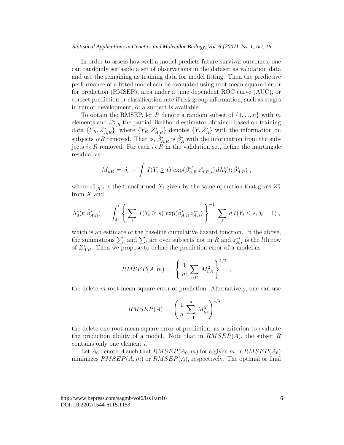In order to assess how well a model predicts future survival outcomes, one can randomly set aside a set of observations in the dataset as validation data and use the remaining as training data for model fitting. Then the predictive performance of a fitted model can be evaluated using root mean squared error for prediction (RMSEP), area under a time dependent ROC curve (AUC), or correct prediction or classification rate if risk group information, such as stages in tumor development, of a subject is available.

To obtain the RMSEP, let R denote a random subset of  $\{1, ..., n\}$  with m elements and  $\hat{\beta}_{A,R}^*$  the partial likelihood estimator obtained based on training data  $\{Y_R, Z_{A,R}^*\}$ , where  $\{Y_R, Z_{A,R}^*\}$  denotes  $\{Y, Z_A^*\}$  with the information on subjects  $i\epsilon R$  removed. That is,  $\hat{\beta}_{A,R}^*$  is  $\hat{\beta}_A^*$  with the information from the subjects  $i \in R$  removed. For each  $i \in R$  in the validation set, define the martingale residual as

$$
M_{i,R} = \delta_i - \int I(Y_i \ge t) \exp(\hat{\beta}_{A,R}^* z_{A,R,i}^*) d\hat{\Lambda}_0^*(t; \hat{\beta}_{A,R}^*) ,
$$

where  $z_{A,R,i}^*$  is the transformed  $X_i$  given by the same operation that gives  $Z_A^*$ from  $X$  and

$$
\hat{\Lambda}_0^*(t; \hat{\beta}_{A,R}^*) = \int_0^t \left\{ \sum_i I(Y_i \ge s) \exp(\hat{\beta}_{A,R}^{*'} z_{A,i}^{**}) \right\}^{-1} \sum_i dI(Y_i \le s, \delta_i = 1) ,
$$

which is an estimate of the baseline cumulative hazard function. In the above, the summations  $\sum_i$  and  $\sum_l$  are over subjects not in R and  $z_{A,l}^{**}$  is the lth row of  $Z_{A,R}^*$ . Then we propose to define the prediction error of a model as

$$
RMSEP(A,m) = \left\{ \frac{1}{m} \sum_{i \in R} M_{i,R}^2 \right\}^{1/2},
$$

the delete-m root mean square error of prediction. Alternatively, one can use

$$
RMSEP(A) = \left(\frac{1}{n}\sum_{i=1}^{n} M_{i,i}^{2}\right)^{1/2},
$$

the delete-one root mean square error of prediction, as a criterion to evaluate the prediction ability of a model. Note that in  $RMSEP(A)$ , the subset R contains only one element i.

Let  $A_0$  denote A such that  $RMSEP(A_0, m)$  for a given m or  $RMSEP(A_0)$ minimizes  $RMSEP(A, m)$  or  $RMSEP(A)$ , respectively. The optimal or final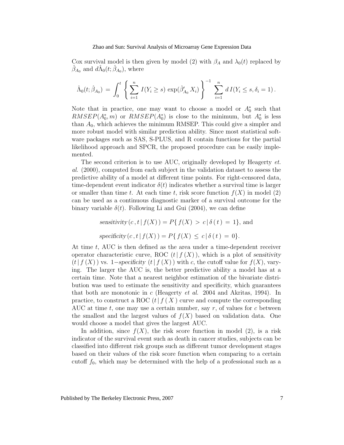Cox survival model is then given by model (2) with  $\beta_A$  and  $\lambda_0(t)$  replaced by  $\hat{\beta}_{A_0}$  and  $d\hat{\Lambda}_0(t; \hat{\beta}_{A_0})$ , where

$$
\hat{\Lambda}_0(t; \hat{\beta}_{A_0}) = \int_0^t \left\{ \sum_{i=1}^n I(Y_i \ge s) \exp(\hat{\beta}'_{A_0} X_i) \right\}^{-1} \sum_{i=1}^n dI(Y_i \le s, \delta_i = 1).
$$

Note that in practice, one may want to choose a model or  $A_0^*$  such that  $RMSEP(A_0^*,m)$  or  $RMSEP(A_0^*)$  is close to the minimum, but  $A_0^*$  is less than  $A_0$ , which achieves the minimum RMSEP. This could give a simpler and more robust model with similar prediction ability. Since most statistical software packages such as SAS, S-PLUS, and R contain functions for the partial likelihood approach and SPCR, the proposed procedure can be easily implemented.

The second criterion is to use AUC, originally developed by Heagerty et. al. (2000), computed from each subject in the validation dataset to assess the predictive ability of a model at different time points. For right-censored data, time-dependent event indicator  $\delta(t)$  indicates whether a survival time is larger or smaller than time t. At each time t, risk score function  $f(X)$  in model (2) can be used as a continuous diagnostic marker of a survival outcome for the binary variable  $\delta(t)$ . Following Li and Gui (2004), we can define

> sensitivity  $(c, t | f(X)) = P\{f(X) > c | \delta(t) = 1\}$ , and specificity  $(c, t | f(X)) = P{ f(X) \le c | \delta(t) = 0}.$

At time t, AUC is then defined as the area under a time-dependent receiver operator characteristic curve, ROC  $(t| f(X))$ , which is a plot of sensitivity  $(t| f(X))$  vs. 1–specificity  $(t| f(X))$  with c, the cutoff value for  $f(X)$ , varying. The larger the AUC is, the better predictive ability a model has at a certain time. Note that a nearest neighbor estimation of the bivariate distribution was used to estimate the sensitivity and specificity, which guarantees that both are monotonic in c (Heagerty et al. 2004 and Akritas, 1994). In practice, to construct a ROC  $(t| f(X))$  curve and compute the corresponding AUC at time t, one may use a certain number, say  $r$ , of values for c between the smallest and the largest values of  $f(X)$  based on validation data. One would choose a model that gives the largest AUC.

In addition, since  $f(X)$ , the risk score function in model (2), is a risk indicator of the survival event such as death in cancer studies, subjects can be classified into different risk groups such as different tumor development stages based on their values of the risk score function when comparing to a certain cutoff  $f_0$ , which may be determined with the help of a professional such as a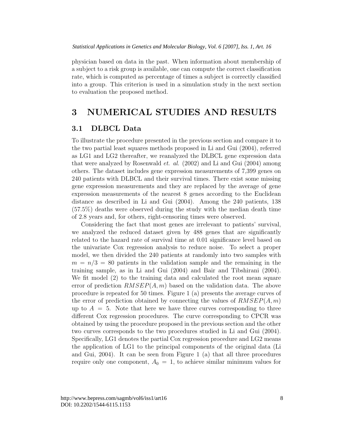physician based on data in the past. When information about membership of a subject to a risk group is available, one can compute the correct classification rate, which is computed as percentage of times a subject is correctly classified into a group. This criterion is used in a simulation study in the next section to evaluation the proposed method.

## **3 NUMERICAL STUDIES AND RESULTS**

#### **3.1 DLBCL Data**

To illustrate the procedure presented in the previous section and compare it to the two partial least squares methods proposed in Li and Gui (2004), referred as LG1 and LG2 thereafter, we reanalyzed the DLBCL gene expression data that were analyzed by Rosenwald et. al. (2002) and Li and Gui (2004) among others. The dataset includes gene expression measurements of 7,399 genes on 240 patients with DLBCL and their survival times. There exist some missing gene expression measurements and they are replaced by the average of gene expression measurements of the nearest 8 genes according to the Euclidean distance as described in Li and Gui (2004). Among the 240 patients, 138 (57.5%) deaths were observed during the study with the median death time of 2.8 years and, for others, right-censoring times were observed.

Considering the fact that most genes are irrelevant to patients' survival, we analyzed the reduced dataset given by 488 genes that are significantly related to the hazard rate of survival time at 0.01 significance level based on the univariate Cox regression analysis to reduce noise. To select a proper model, we then divided the 240 patients at randomly into two samples with  $m = n/3 = 80$  patients in the validation sample and the remaining in the training sample, as in Li and Gui (2004) and Bair and Tibshirani (2004). We fit model (2) to the training data and calculated the root mean square error of prediction  $RMSEP(A, m)$  based on the validation data. The above procedure is repeated for 50 times. Figure 1 (a) presents the average curves of the error of prediction obtained by connecting the values of  $RMSEP(A, m)$ up to  $A = 5$ . Note that here we have three curves corresponding to three different Cox regression procedures. The curve corresponding to CPCR was obtained by using the procedure proposed in the previous section and the other two curves corresponds to the two procedures studied in Li and Gui (2004). Specifically, LG1 denotes the partial Cox regression procedure and LG2 means the application of LG1 to the principal components of the original data (Li and Gui, 2004). It can be seen from Figure 1 (a) that all three procedures require only one component,  $A_0 = 1$ , to achieve similar minimum values for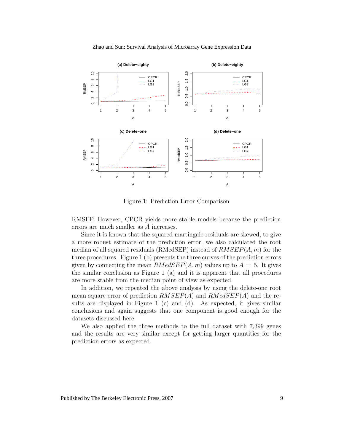

Zhao and Sun: Survival Analysis of Microarray Gene Expression Data

Figure 1: Prediction Error Comparison

RMSEP. However, CPCR yields more stable models because the prediction errors are much smaller as A increases.

Since it is known that the squared martingale residuals are skewed, to give a more robust estimate of the prediction error, we also calculated the root median of all squared residuals (RMedSEP) instead of  $RMSEP(A, m)$  for the three procedures. Figure 1 (b) presents the three curves of the prediction errors given by connecting the mean  $RMedSEP(A, m)$  values up to  $A = 5$ . It gives the similar conclusion as Figure 1 (a) and it is apparent that all procedures are more stable from the median point of view as expected.

In addition, we repeated the above analysis by using the delete-one root mean square error of prediction  $RMSEP(A)$  and  $RMedSEP(A)$  and the results are displayed in Figure 1 (c) and (d). As expected, it gives similar conclusions and again suggests that one component is good enough for the datasets discussed here.

We also applied the three methods to the full dataset with 7,399 genes and the results are very similar except for getting larger quantities for the prediction errors as expected.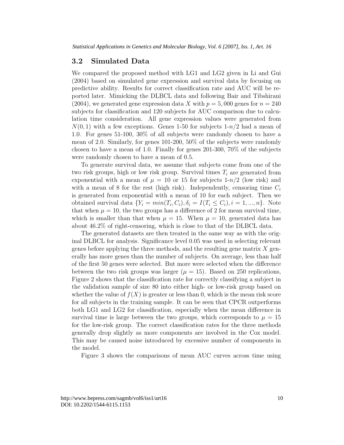#### **3.2 Simulated Data**

We compared the proposed method with LG1 and LG2 given in Li and Gui (2004) based on simulated gene expression and survival data by focusing on predictive ability. Results for correct classification rate and AUC will be reported later. Mimicking the DLBCL data and following Bair and Tibshirani  $(2004)$ , we generated gene expression data X with  $p = 5,000$  genes for  $n = 240$ subjects for classification and 120 subjects for AUC comparison due to calculation time consideration. All gene expression values were generated from  $N(0, 1)$  with a few exceptions. Genes 1-50 for subjects  $1-n/2$  had a mean of 1.0. For genes 51-100, 30% of all subjects were randomly chosen to have a mean of 2.0. Similarly, for genes 101-200, 50% of the subjects were randomly chosen to have a mean of 1.0. Finally for genes 201-300, 70% of the subjects were randomly chosen to have a mean of 0.5.

To generate survival data, we assume that subjects come from one of the two risk groups, high or low risk group. Survival times T*<sup>i</sup>* are generated from exponential with a mean of  $\mu = 10$  or 15 for subjects 1-n/2 (low risk) and with a mean of 8 for the rest (high risk). Independently, censoring time  $C_i$ is generated from exponential with a mean of 10 for each subject. Then we obtained survival data  $\{Y_i = min(T_i, C_i), \delta_i = I(T_i \leq C_i), i = 1, ..., n\}$ . Note that when  $\mu = 10$ , the two groups has a difference of 2 for mean survival time, which is smaller than that when  $\mu = 15$ . When  $\mu = 10$ , generated data has about 46.2% of right-censoring, which is close to that of the DLBCL data.

The generated datasets are then treated in the same way as with the original DLBCL for analysis. Significance level 0.05 was used in selecting relevant genes before applying the three methods, and the resulting gene matrix X generally has more genes than the number of subjects. On average, less than half of the first 50 genes were selected. But more were selected when the difference between the two risk groups was larger  $(\mu = 15)$ . Based on 250 replications, Figure 2 shows that the classification rate for correctly classifying a subject in the validation sample of size 80 into either high- or low-risk group based on whether the value of  $f(X)$  is greater or less than 0, which is the mean risk score for all subjects in the training sample. It can be seen that CPCR outperforms both LG1 and LG2 for classification, especially when the mean difference in survival time is large between the two groups, which corresponds to  $\mu = 15$ for the low-risk group. The correct classification rates for the three methods generally drop slightly as more components are involved in the Cox model. This may be caused noise introduced by excessive number of components in the model.

Figure 3 shows the comparisons of mean AUC curves across time using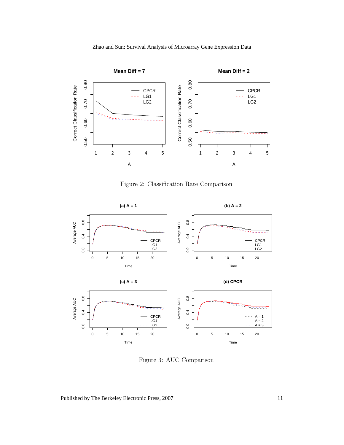

Figure 2: Classification Rate Comparison



Figure 3: AUC Comparison

Published by The Berkeley Electronic Press, 2007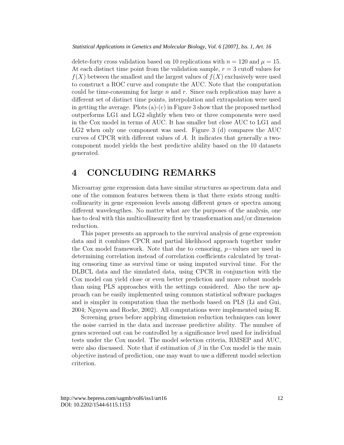delete-forty cross validation based on 10 replications with  $n = 120$  and  $\mu = 15$ . At each distinct time point from the validation sample,  $r = 3$  cutoff values for  $f(X)$  between the smallest and the largest values of  $f(X)$  exclusively were used to construct a ROC curve and compute the AUC. Note that the computation could be time-consuming for large  $n$  and  $r$ . Since each replication may have a different set of distinct time points, interpolation and extrapolation were used in getting the average. Plots  $(a)-(c)$  in Figure 3 show that the proposed method outperforms LG1 and LG2 slightly when two or three components were used in the Cox model in terms of AUC. It has smaller but close AUC to LG1 and LG2 when only one component was used. Figure 3 (d) compares the AUC curves of CPCR with different values of A. It indicates that generally a twocomponent model yields the best predictive ability based on the 10 datasets generated.

## **4 CONCLUDING REMARKS**

Microarray gene expression data have similar structures as spectrum data and one of the common features between them is that there exists strong multicollinearity in gene expression levels among different genes or spectra among different wavelengthes. No matter what are the purposes of the analysis, one has to deal with this multicollinearity first by transformation and/or dimension reduction.

This paper presents an approach to the survival analysis of gene expression data and it combines CPCR and partial likelihood approach together under the Cox model framework. Note that due to censoring, p−values are used in determining correlation instead of correlation coefficients calculated by treating censoring time as survival time or using imputed survival time. For the DLBCL data and the simulated data, using CPCR in conjunction with the Cox model can yield close or even better prediction and more robust models than using PLS approaches with the settings considered. Also the new approach can be easily implemented using common statistical software packages and is simpler in computation than the methods based on PLS (Li and Gui, 2004; Nguyen and Rocke, 2002). All computations were implemented using R.

Screening genes before applying dimension reduction techniques can lower the noise carried in the data and increase predictive ability. The number of genes screened out can be controlled by a significance level used for individual tests under the Cox model. The model selection criteria, RMSEP and AUC, were also discussed. Note that if estimation of  $\beta$  in the Cox model is the main objective instead of prediction, one may want to use a different model selection criterion.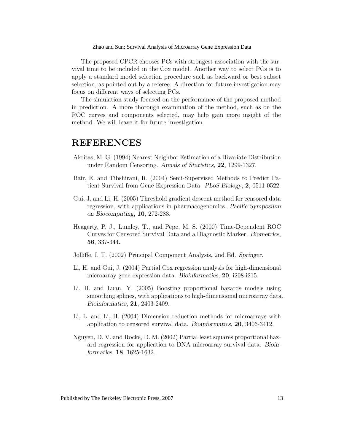The proposed CPCR chooses PCs with strongest association with the survival time to be included in the Cox model. Another way to select PCs is to apply a standard model selection procedure such as backward or best subset selection, as pointed out by a referee. A direction for future investigation may focus on different ways of selecting PCs.

The simulation study focused on the performance of the proposed method in prediction. A more thorough examination of the method, such as on the ROC curves and components selected, may help gain more insight of the method. We will leave it for future investigation.

### **REFERENCES**

- Akritas, M. G. (1994) Nearest Neighbor Estimation of a Bivariate Distribution under Random Censoring. Annals of Statistics, **<sup>22</sup>**, 1299-1327.
- Bair, E. and Tibshirani, R. (2004) Semi-Supervised Methods to Predict Patient Survival from Gene Expression Data. PLoS Biology, **<sup>2</sup>**, 0511-0522.
- Gui, J. and Li, H. (2005) Threshold gradient descent method for censored data regression, with applications in pharmacogenomics. Pacific Symposium on Biocomputing, **<sup>10</sup>**, 272-283.
- Heagerty, P. J., Lumley, T., and Pepe, M. S. (2000) Time-Dependent ROC Curves for Censored Survival Data and a Diagnostic Marker. Biometrics, **56**, 337-344.
- Jolliffe, I. T. (2002) Principal Component Analysis, 2nd Ed. Springer.
- Li, H. and Gui, J. (2004) Partial Cox regression analysis for high-dimensional microarray gene expression data. Bioinformatics, **<sup>20</sup>**, i208-i215.
- Li, H. and Luan, Y. (2005) Boosting proportional hazards models using smoothing splines, with applications to high-dimensional microarray data. Bioinformatics, **<sup>21</sup>**, 2403-2409.
- Li, L. and Li, H. (2004) Dimension reduction methods for microarrays with application to censored survival data. Bioinformatics, **<sup>20</sup>**, 3406-3412.
- Nguyen, D. V. and Rocke, D. M. (2002) Partial least squares proportional hazard regression for application to DNA microarray survival data. Bioinformatics, **<sup>18</sup>**, 1625-1632.